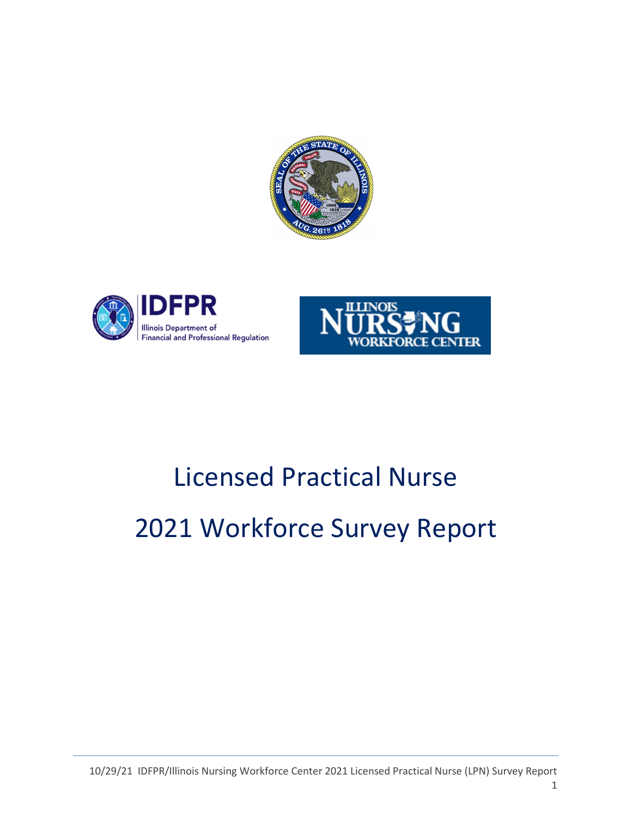





# Licensed Practical Nurse 2021 Workforce Survey Report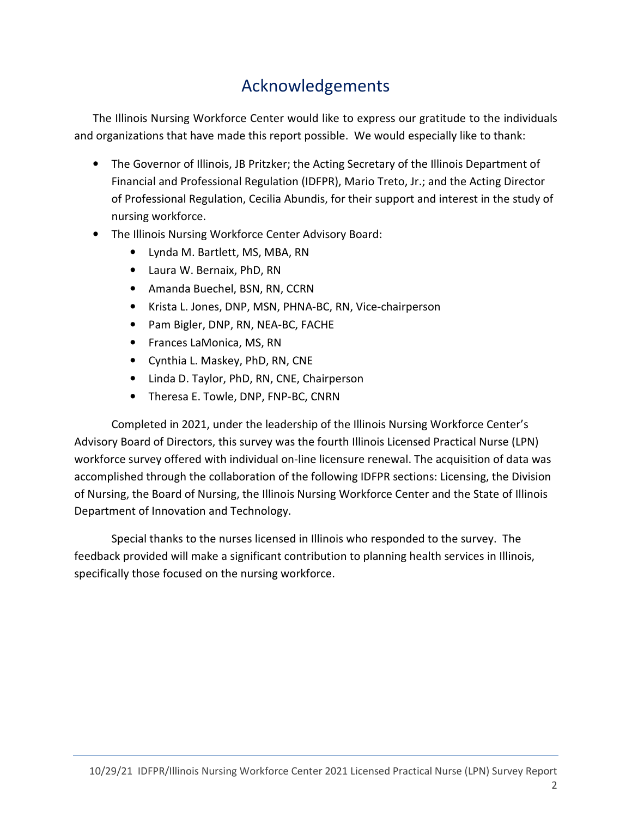# Acknowledgements

The Illinois Nursing Workforce Center would like to express our gratitude to the individuals and organizations that have made this report possible. We would especially like to thank:

- The Governor of Illinois, JB Pritzker; the Acting Secretary of the Illinois Department of Financial and Professional Regulation (IDFPR), Mario Treto, Jr.; and the Acting Director of Professional Regulation, Cecilia Abundis, for their support and interest in the study of nursing workforce.
- The Illinois Nursing Workforce Center Advisory Board:
	- Lynda M. Bartlett, MS, MBA, RN
	- Laura W. Bernaix, PhD, RN
	- Amanda Buechel, BSN, RN, CCRN
	- Krista L. Jones, DNP, MSN, PHNA-BC, RN, Vice-chairperson
	- Pam Bigler, DNP, RN, NEA-BC, FACHE
	- Frances LaMonica, MS, RN
	- Cynthia L. Maskey, PhD, RN, CNE
	- Linda D. Taylor, PhD, RN, CNE, Chairperson
	- Theresa E. Towle, DNP, FNP-BC, CNRN

Completed in 2021, under the leadership of the Illinois Nursing Workforce Center's Advisory Board of Directors, this survey was the fourth Illinois Licensed Practical Nurse (LPN) workforce survey offered with individual on-line licensure renewal. The acquisition of data was accomplished through the collaboration of the following IDFPR sections: Licensing, the Division of Nursing, the Board of Nursing, the Illinois Nursing Workforce Center and the State of Illinois Department of Innovation and Technology.

Special thanks to the nurses licensed in Illinois who responded to the survey. The feedback provided will make a significant contribution to planning health services in Illinois, specifically those focused on the nursing workforce.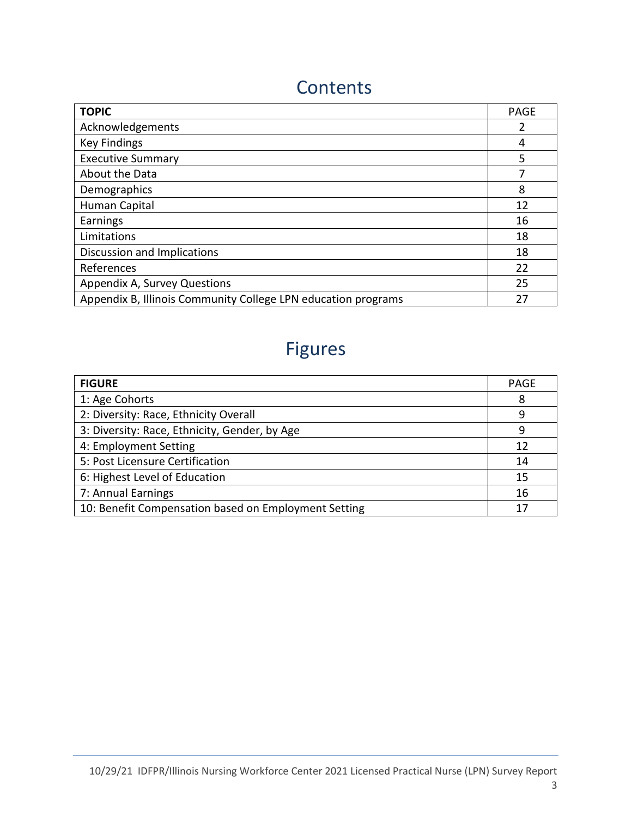# **Contents**

| <b>TOPIC</b>                                                  | <b>PAGE</b> |
|---------------------------------------------------------------|-------------|
| Acknowledgements                                              |             |
| <b>Key Findings</b>                                           | 4           |
| <b>Executive Summary</b>                                      | 5           |
| About the Data                                                |             |
| Demographics                                                  | 8           |
| Human Capital                                                 | 12          |
| Earnings                                                      | 16          |
| Limitations                                                   | 18          |
| Discussion and Implications                                   | 18          |
| References                                                    | 22          |
| Appendix A, Survey Questions                                  | 25          |
| Appendix B, Illinois Community College LPN education programs | 27          |

# Figures

| <b>FIGURE</b>                                        | <b>PAGE</b> |
|------------------------------------------------------|-------------|
| 1: Age Cohorts                                       | 8           |
| 2: Diversity: Race, Ethnicity Overall                | q           |
| 3: Diversity: Race, Ethnicity, Gender, by Age        | q           |
| 4: Employment Setting                                | 12          |
| 5: Post Licensure Certification                      | 14          |
| 6: Highest Level of Education                        | 15          |
| 7: Annual Earnings                                   | 16          |
| 10: Benefit Compensation based on Employment Setting | 17          |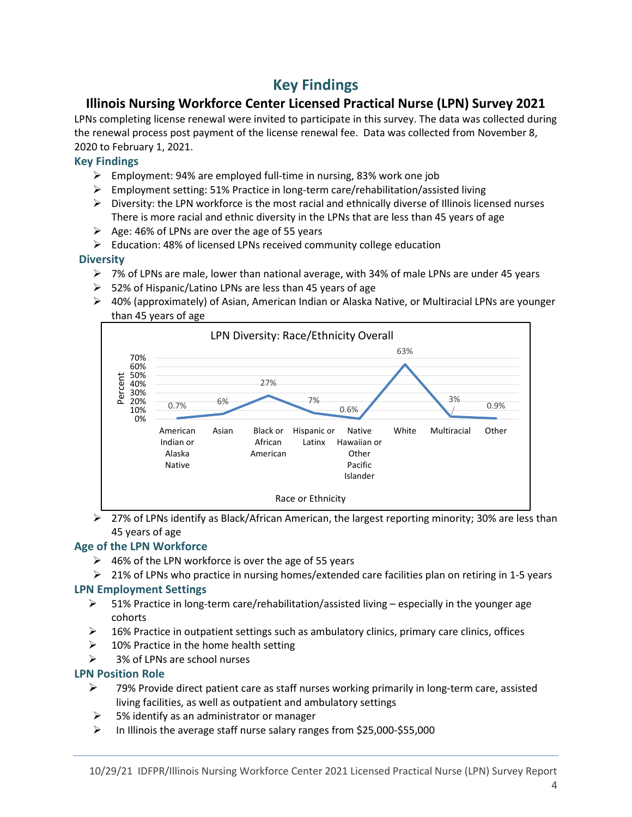### Key Findings

#### Illinois Nursing Workforce Center Licensed Practical Nurse (LPN) Survey 2021

LPNs completing license renewal were invited to participate in this survey. The data was collected during the renewal process post payment of the license renewal fee. Data was collected from November 8, 2020 to February 1, 2021.

#### Key Findings

- Employment: 94% are employed full-time in nursing, 83% work one job
- $\triangleright$  Employment setting: 51% Practice in long-term care/rehabilitation/assisted living
- $\triangleright$  Diversity: the LPN workforce is the most racial and ethnically diverse of Illinois licensed nurses There is more racial and ethnic diversity in the LPNs that are less than 45 years of age
- $\triangleright$  Age: 46% of LPNs are over the age of 55 years
- Education: 48% of licensed LPNs received community college education

#### **Diversity**

- $\triangleright$  7% of LPNs are male, lower than national average, with 34% of male LPNs are under 45 years
- $>$  52% of Hispanic/Latino LPNs are less than 45 years of age
- $\triangleright$  40% (approximately) of Asian, American Indian or Alaska Native, or Multiracial LPNs are younger than 45 years of age



 $\triangleright$  27% of LPNs identify as Black/African American, the largest reporting minority; 30% are less than 45 years of age

#### Age of the LPN Workforce

- $\geq$  46% of the LPN workforce is over the age of 55 years
- $\geq$  21% of LPNs who practice in nursing homes/extended care facilities plan on retiring in 1-5 years

#### LPN Employment Settings

- $\triangleright$  51% Practice in long-term care/rehabilitation/assisted living especially in the younger age cohorts
- $\geq$  16% Practice in outpatient settings such as ambulatory clinics, primary care clinics, offices
- $\geq$  10% Practice in the home health setting
- 3% of LPNs are school nurses

#### LPN Position Role

- $\geq$  79% Provide direct patient care as staff nurses working primarily in long-term care, assisted living facilities, as well as outpatient and ambulatory settings
- $\geq$  5% identify as an administrator or manager
- $\triangleright$  In Illinois the average staff nurse salary ranges from \$25,000-\$55,000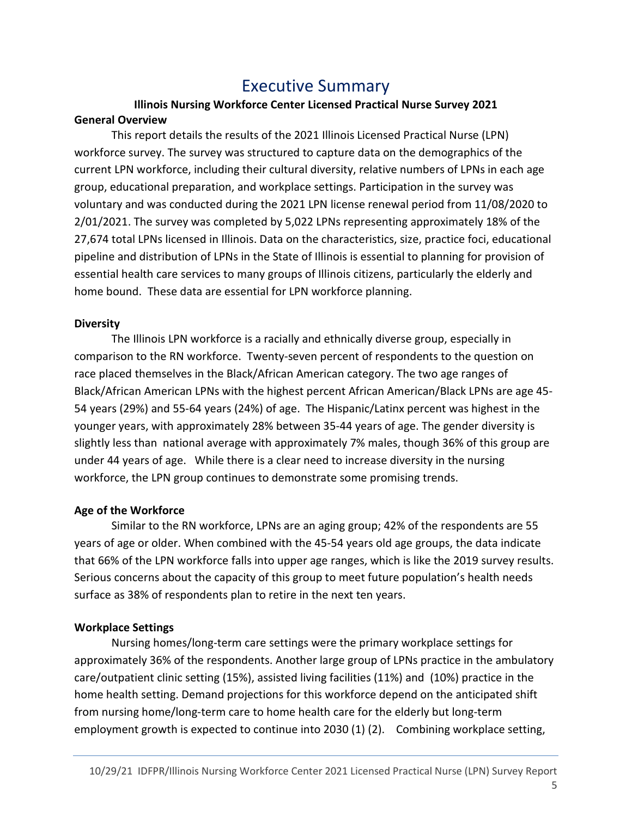### Executive Summary

#### Illinois Nursing Workforce Center Licensed Practical Nurse Survey 2021 General Overview

This report details the results of the 2021 Illinois Licensed Practical Nurse (LPN) workforce survey. The survey was structured to capture data on the demographics of the current LPN workforce, including their cultural diversity, relative numbers of LPNs in each age group, educational preparation, and workplace settings. Participation in the survey was voluntary and was conducted during the 2021 LPN license renewal period from 11/08/2020 to 2/01/2021. The survey was completed by 5,022 LPNs representing approximately 18% of the 27,674 total LPNs licensed in Illinois. Data on the characteristics, size, practice foci, educational pipeline and distribution of LPNs in the State of Illinois is essential to planning for provision of essential health care services to many groups of Illinois citizens, particularly the elderly and home bound. These data are essential for LPN workforce planning.

#### **Diversity**

The Illinois LPN workforce is a racially and ethnically diverse group, especially in comparison to the RN workforce. Twenty-seven percent of respondents to the question on race placed themselves in the Black/African American category. The two age ranges of Black/African American LPNs with the highest percent African American/Black LPNs are age 45- 54 years (29%) and 55-64 years (24%) of age. The Hispanic/Latinx percent was highest in the younger years, with approximately 28% between 35-44 years of age. The gender diversity is slightly less than national average with approximately 7% males, though 36% of this group are under 44 years of age. While there is a clear need to increase diversity in the nursing workforce, the LPN group continues to demonstrate some promising trends.

#### Age of the Workforce

Similar to the RN workforce, LPNs are an aging group; 42% of the respondents are 55 years of age or older. When combined with the 45-54 years old age groups, the data indicate that 66% of the LPN workforce falls into upper age ranges, which is like the 2019 survey results. Serious concerns about the capacity of this group to meet future population's health needs surface as 38% of respondents plan to retire in the next ten years.

#### Workplace Settings

Nursing homes/long-term care settings were the primary workplace settings for approximately 36% of the respondents. Another large group of LPNs practice in the ambulatory care/outpatient clinic setting (15%), assisted living facilities (11%) and (10%) practice in the home health setting. Demand projections for this workforce depend on the anticipated shift from nursing home/long-term care to home health care for the elderly but long-term employment growth is expected to continue into 2030 (1) (2). Combining workplace setting,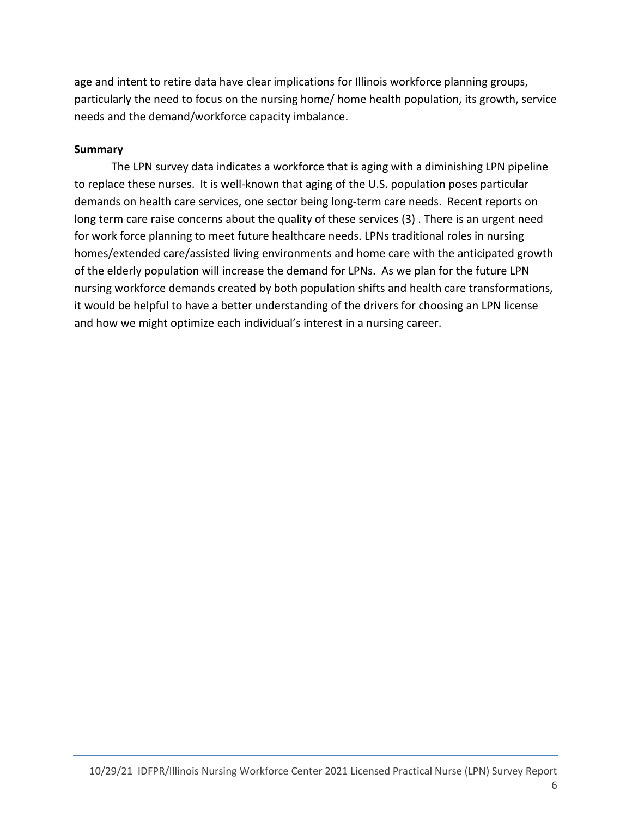age and intent to retire data have clear implications for Illinois workforce planning groups, particularly the need to focus on the nursing home/ home health population, its growth, service needs and the demand/workforce capacity imbalance.

#### Summary

The LPN survey data indicates a workforce that is aging with a diminishing LPN pipeline to replace these nurses. It is well-known that aging of the U.S. population poses particular demands on health care services, one sector being long-term care needs. Recent reports on long term care raise concerns about the quality of these services (3) . There is an urgent need for work force planning to meet future healthcare needs. LPNs traditional roles in nursing homes/extended care/assisted living environments and home care with the anticipated growth of the elderly population will increase the demand for LPNs. As we plan for the future LPN nursing workforce demands created by both population shifts and health care transformations, it would be helpful to have a better understanding of the drivers for choosing an LPN license and how we might optimize each individual's interest in a nursing career.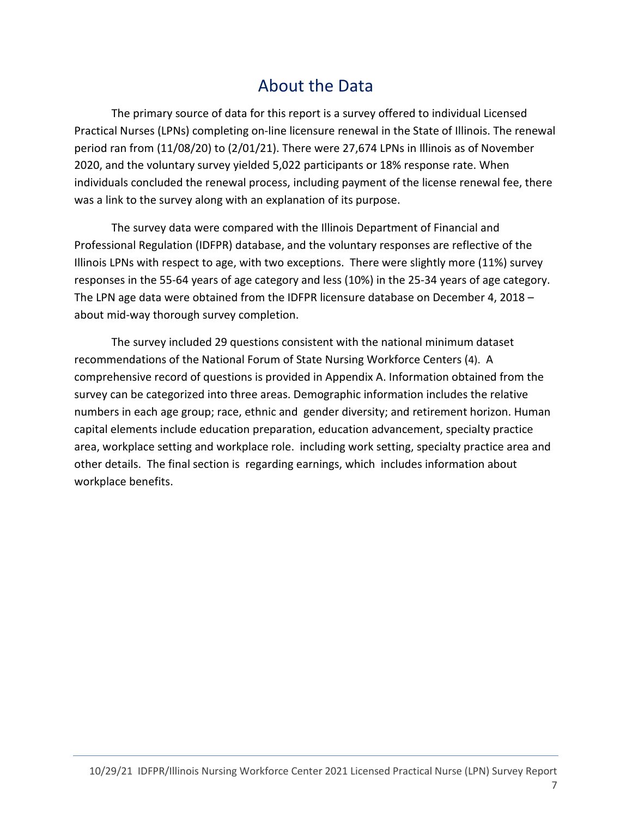# About the Data

The primary source of data for this report is a survey offered to individual Licensed Practical Nurses (LPNs) completing on-line licensure renewal in the State of Illinois. The renewal period ran from (11/08/20) to (2/01/21). There were 27,674 LPNs in Illinois as of November 2020, and the voluntary survey yielded 5,022 participants or 18% response rate. When individuals concluded the renewal process, including payment of the license renewal fee, there was a link to the survey along with an explanation of its purpose.

The survey data were compared with the Illinois Department of Financial and Professional Regulation (IDFPR) database, and the voluntary responses are reflective of the Illinois LPNs with respect to age, with two exceptions. There were slightly more (11%) survey responses in the 55-64 years of age category and less (10%) in the 25-34 years of age category. The LPN age data were obtained from the IDFPR licensure database on December 4, 2018 – about mid-way thorough survey completion.

The survey included 29 questions consistent with the national minimum dataset recommendations of the National Forum of State Nursing Workforce Centers (4). A comprehensive record of questions is provided in Appendix A. Information obtained from the survey can be categorized into three areas. Demographic information includes the relative numbers in each age group; race, ethnic and gender diversity; and retirement horizon. Human capital elements include education preparation, education advancement, specialty practice area, workplace setting and workplace role. including work setting, specialty practice area and other details. The final section is regarding earnings, which includes information about workplace benefits.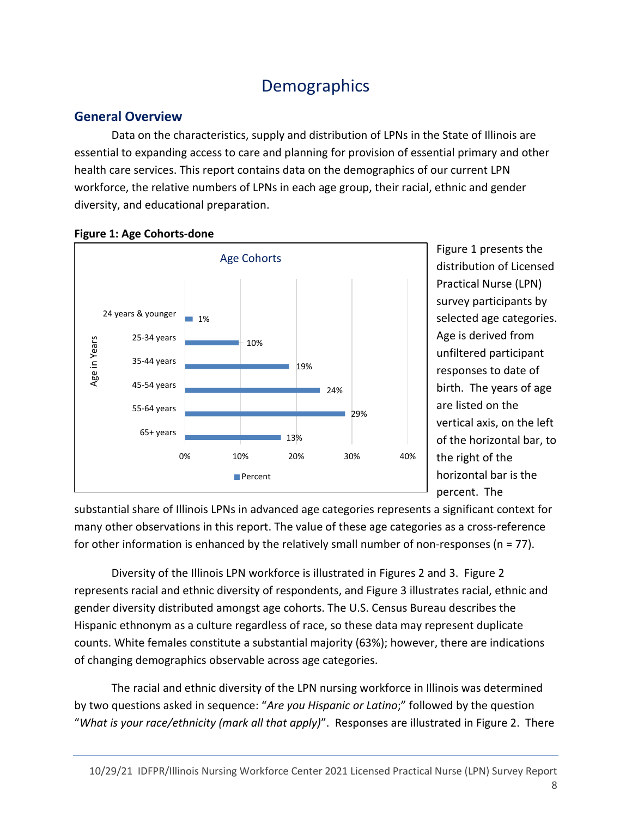# **Demographics**

#### General Overview

Data on the characteristics, supply and distribution of LPNs in the State of Illinois are essential to expanding access to care and planning for provision of essential primary and other health care services. This report contains data on the demographics of our current LPN workforce, the relative numbers of LPNs in each age group, their racial, ethnic and gender diversity, and educational preparation.





Figure 1 presents the distribution of Licensed Practical Nurse (LPN) survey participants by selected age categories. Age is derived from unfiltered participant responses to date of birth. The years of age are listed on the vertical axis, on the left of the horizontal bar, to the right of the horizontal bar is the percent. The

substantial share of Illinois LPNs in advanced age categories represents a significant context for many other observations in this report. The value of these age categories as a cross-reference for other information is enhanced by the relatively small number of non-responses (n = 77).

Diversity of the Illinois LPN workforce is illustrated in Figures 2 and 3. Figure 2 represents racial and ethnic diversity of respondents, and Figure 3 illustrates racial, ethnic and gender diversity distributed amongst age cohorts. The U.S. Census Bureau describes the Hispanic ethnonym as a culture regardless of race, so these data may represent duplicate counts. White females constitute a substantial majority (63%); however, there are indications of changing demographics observable across age categories.

The racial and ethnic diversity of the LPN nursing workforce in Illinois was determined by two questions asked in sequence: "Are you Hispanic or Latino;" followed by the question "What is your race/ethnicity (mark all that apply)". Responses are illustrated in Figure 2. There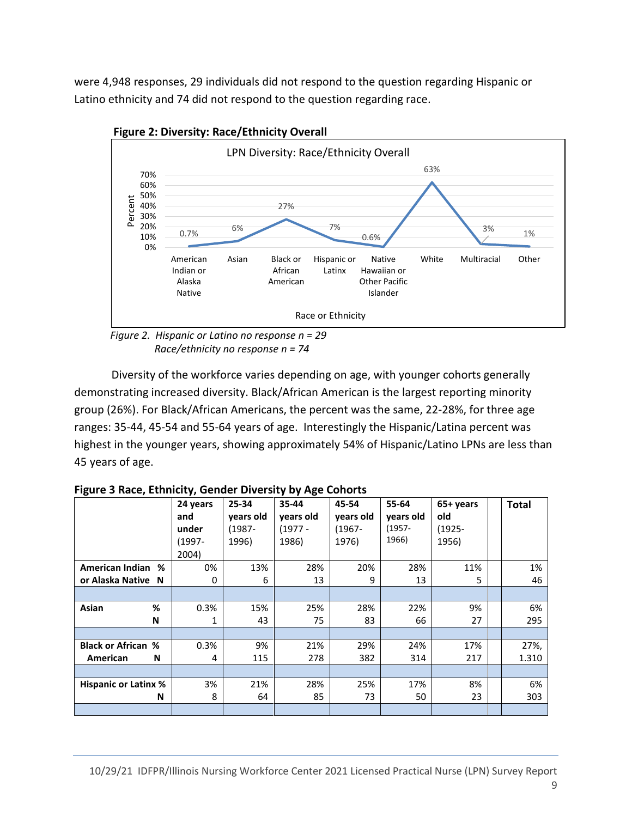were 4,948 responses, 29 individuals did not respond to the question regarding Hispanic or Latino ethnicity and 74 did not respond to the question regarding race.



Figure 2: Diversity: Race/Ethnicity Overall

Diversity of the workforce varies depending on age, with younger cohorts generally demonstrating increased diversity. Black/African American is the largest reporting minority group (26%). For Black/African Americans, the percent was the same, 22-28%, for three age ranges: 35-44, 45-54 and 55-64 years of age. Interestingly the Hispanic/Latina percent was highest in the younger years, showing approximately 54% of Hispanic/Latino LPNs are less than 45 years of age.

|                             | 24 years  | 25-34     | 35-44     | 45-54     | 55-64     | 65+ years | <b>Total</b> |
|-----------------------------|-----------|-----------|-----------|-----------|-----------|-----------|--------------|
|                             | and       | years old | years old | years old | years old | old       |              |
|                             | under     | (1987-    | $(1977 -$ | $(1967 -$ | $(1957 -$ | $(1925 -$ |              |
|                             | $(1997 -$ | 1996)     | 1986)     | 1976)     | 1966)     | 1956)     |              |
|                             | 2004)     |           |           |           |           |           |              |
| American Indian<br>%        | 0%        | 13%       | 28%       | 20%       | 28%       | 11%       | 1%           |
| or Alaska Native N          | 0         | 6         | 13        | 9         | 13        | 5         | 46           |
|                             |           |           |           |           |           |           |              |
| %<br>Asian                  | 0.3%      | 15%       | 25%       | 28%       | 22%       | 9%        | 6%           |
| N                           | 1         | 43        | 75        | 83        | 66        | 27        | 295          |
|                             |           |           |           |           |           |           |              |
| <b>Black or African %</b>   | 0.3%      | 9%        | 21%       | 29%       | 24%       | 17%       | 27%,         |
| N<br>American               | 4         | 115       | 278       | 382       | 314       | 217       | 1.310        |
|                             |           |           |           |           |           |           |              |
| <b>Hispanic or Latinx %</b> | 3%        | 21%       | 28%       | 25%       | 17%       | 8%        | 6%           |
| N                           | 8         | 64        | 85        | 73        | 50        | 23        | 303          |
|                             |           |           |           |           |           |           |              |

Figure 3 Race, Ethnicity, Gender Diversity by Age Cohorts

Race/ethnicity no response n = 74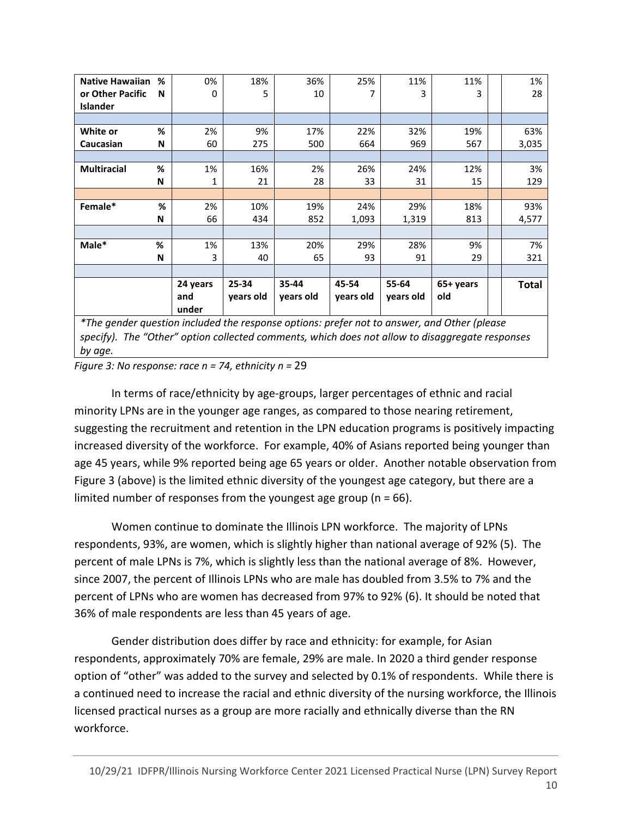| <b>Native Hawaiian</b>                                                                      | % | 0%           | 18%       | 36%       | 25%       | 11%       | 11%       | 1%    |
|---------------------------------------------------------------------------------------------|---|--------------|-----------|-----------|-----------|-----------|-----------|-------|
| or Other Pacific                                                                            | N | 0            | 5         | 10        |           | 3         | 3         | 28    |
| <b>Islander</b>                                                                             |   |              |           |           |           |           |           |       |
|                                                                                             |   |              |           |           |           |           |           |       |
| White or                                                                                    | % | 2%           | 9%        | 17%       | 22%       | 32%       | 19%       | 63%   |
| Caucasian                                                                                   | N | 60           | 275       | 500       | 664       | 969       | 567       | 3,035 |
|                                                                                             |   |              |           |           |           |           |           |       |
| <b>Multiracial</b>                                                                          | % | 1%           | 16%       | 2%        | 26%       | 24%       | 12%       | 3%    |
|                                                                                             | N | 1            | 21        | 28        | 33        | 31        | 15        | 129   |
|                                                                                             |   |              |           |           |           |           |           |       |
| Female*                                                                                     | % | 2%           | 10%       | 19%       | 24%       | 29%       | 18%       | 93%   |
|                                                                                             | N | 66           | 434       | 852       | 1,093     | 1,319     | 813       | 4,577 |
|                                                                                             |   |              |           |           |           |           |           |       |
| Male*                                                                                       | % | 1%           | 13%       | 20%       | 29%       | 28%       | 9%        | 7%    |
|                                                                                             | N | 3            | 40        | 65        | 93        | 91        | 29        | 321   |
|                                                                                             |   |              |           |           |           |           |           |       |
|                                                                                             |   | 24 years     | 25-34     | 35-44     | 45-54     | 55-64     | 65+ years | Total |
|                                                                                             |   | and<br>under | years old | years old | years old | years old | old       |       |
| *The gender question included the response options: prefer not to answer, and Other (please |   |              |           |           |           |           |           |       |

specify). The "Other" option collected comments, which does not allow to disaggregate responses by age.

Figure 3: No response: race  $n = 74$ , ethnicity  $n = 29$ 

In terms of race/ethnicity by age-groups, larger percentages of ethnic and racial minority LPNs are in the younger age ranges, as compared to those nearing retirement, suggesting the recruitment and retention in the LPN education programs is positively impacting increased diversity of the workforce. For example, 40% of Asians reported being younger than age 45 years, while 9% reported being age 65 years or older. Another notable observation from Figure 3 (above) is the limited ethnic diversity of the youngest age category, but there are a limited number of responses from the youngest age group ( $n = 66$ ).

Women continue to dominate the Illinois LPN workforce. The majority of LPNs respondents, 93%, are women, which is slightly higher than national average of 92% (5). The percent of male LPNs is 7%, which is slightly less than the national average of 8%. However, since 2007, the percent of Illinois LPNs who are male has doubled from 3.5% to 7% and the percent of LPNs who are women has decreased from 97% to 92% (6). It should be noted that 36% of male respondents are less than 45 years of age.

Gender distribution does differ by race and ethnicity: for example, for Asian respondents, approximately 70% are female, 29% are male. In 2020 a third gender response option of "other" was added to the survey and selected by 0.1% of respondents. While there is a continued need to increase the racial and ethnic diversity of the nursing workforce, the Illinois licensed practical nurses as a group are more racially and ethnically diverse than the RN workforce.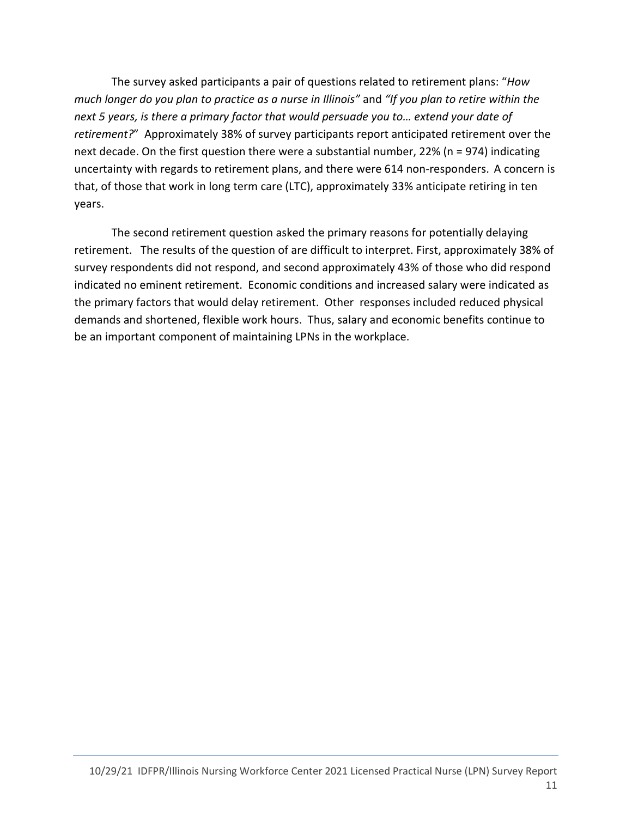The survey asked participants a pair of questions related to retirement plans: "How much longer do you plan to practice as a nurse in Illinois" and "If you plan to retire within the next 5 years, is there a primary factor that would persuade you to… extend your date of retirement?" Approximately 38% of survey participants report anticipated retirement over the next decade. On the first question there were a substantial number, 22% (n = 974) indicating uncertainty with regards to retirement plans, and there were 614 non-responders. A concern is that, of those that work in long term care (LTC), approximately 33% anticipate retiring in ten years.

The second retirement question asked the primary reasons for potentially delaying retirement. The results of the question of are difficult to interpret. First, approximately 38% of survey respondents did not respond, and second approximately 43% of those who did respond indicated no eminent retirement. Economic conditions and increased salary were indicated as the primary factors that would delay retirement. Other responses included reduced physical demands and shortened, flexible work hours. Thus, salary and economic benefits continue to be an important component of maintaining LPNs in the workplace.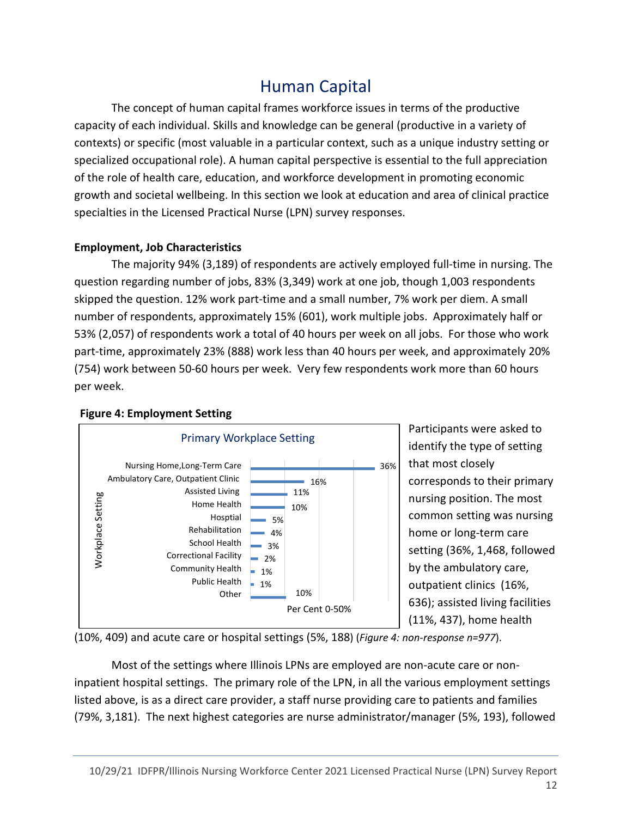# Human Capital

The concept of human capital frames workforce issues in terms of the productive capacity of each individual. Skills and knowledge can be general (productive in a variety of contexts) or specific (most valuable in a particular context, such as a unique industry setting or specialized occupational role). A human capital perspective is essential to the full appreciation of the role of health care, education, and workforce development in promoting economic growth and societal wellbeing. In this section we look at education and area of clinical practice specialties in the Licensed Practical Nurse (LPN) survey responses.

#### Employment, Job Characteristics

The majority 94% (3,189) of respondents are actively employed full-time in nursing. The question regarding number of jobs, 83% (3,349) work at one job, though 1,003 respondents skipped the question. 12% work part-time and a small number, 7% work per diem. A small number of respondents, approximately 15% (601), work multiple jobs. Approximately half or 53% (2,057) of respondents work a total of 40 hours per week on all jobs. For those who work part-time, approximately 23% (888) work less than 40 hours per week, and approximately 20% (754) work between 50-60 hours per week. Very few respondents work more than 60 hours per week.



identify the type of setting that most closely corresponds to their primary nursing position. The most common setting was nursing home or long-term care setting (36%, 1,468, followed

by the ambulatory care, outpatient clinics (16%, 636); assisted living facilities (11%, 437), home health

(10%, 409) and acute care or hospital settings (5%, 188) (Figure 4: non-response n=977).

Most of the settings where Illinois LPNs are employed are non-acute care or noninpatient hospital settings. The primary role of the LPN, in all the various employment settings listed above, is as a direct care provider, a staff nurse providing care to patients and families (79%, 3,181). The next highest categories are nurse administrator/manager (5%, 193), followed

### Figure 4: Employment Setting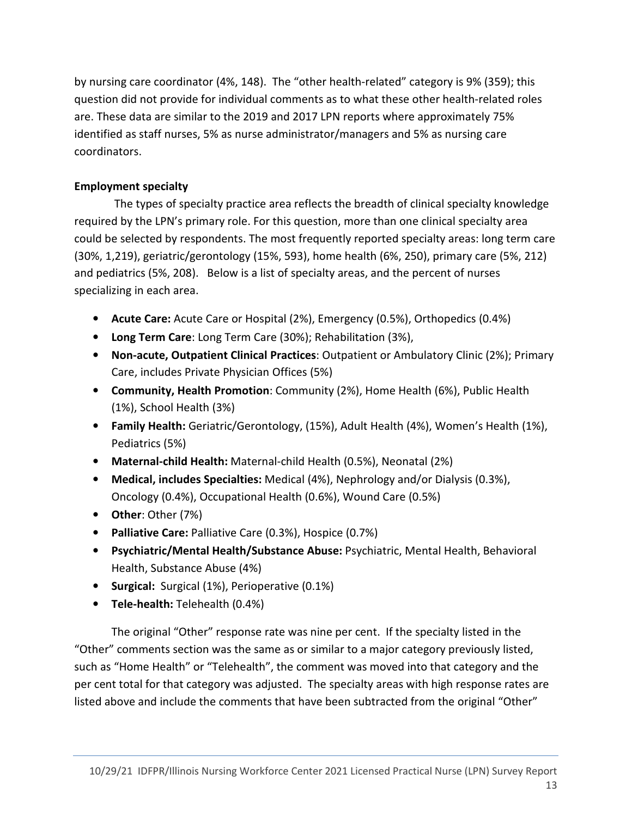by nursing care coordinator (4%, 148). The "other health-related" category is 9% (359); this question did not provide for individual comments as to what these other health-related roles are. These data are similar to the 2019 and 2017 LPN reports where approximately 75% identified as staff nurses, 5% as nurse administrator/managers and 5% as nursing care coordinators.

#### Employment specialty

 The types of specialty practice area reflects the breadth of clinical specialty knowledge required by the LPN's primary role. For this question, more than one clinical specialty area could be selected by respondents. The most frequently reported specialty areas: long term care (30%, 1,219), geriatric/gerontology (15%, 593), home health (6%, 250), primary care (5%, 212) and pediatrics (5%, 208). Below is a list of specialty areas, and the percent of nurses specializing in each area.

- Acute Care: Acute Care or Hospital (2%), Emergency (0.5%), Orthopedics (0.4%)
- Long Term Care: Long Term Care (30%); Rehabilitation (3%),
- Non-acute, Outpatient Clinical Practices: Outpatient or Ambulatory Clinic (2%); Primary Care, includes Private Physician Offices (5%)
- Community, Health Promotion: Community (2%), Home Health (6%), Public Health (1%), School Health (3%)
- Family Health: Geriatric/Gerontology, (15%), Adult Health (4%), Women's Health (1%), Pediatrics (5%)
- Maternal-child Health: Maternal-child Health (0.5%), Neonatal (2%)
- Medical, includes Specialties: Medical (4%), Nephrology and/or Dialysis (0.3%), Oncology (0.4%), Occupational Health (0.6%), Wound Care (0.5%)
- Other: Other (7%)
- Palliative Care: Palliative Care (0.3%), Hospice (0.7%)
- Psychiatric/Mental Health/Substance Abuse: Psychiatric, Mental Health, Behavioral Health, Substance Abuse (4%)
- Surgical: Surgical (1%), Perioperative (0.1%)
- Tele-health: Telehealth (0.4%)

The original "Other" response rate was nine per cent. If the specialty listed in the "Other" comments section was the same as or similar to a major category previously listed, such as "Home Health" or "Telehealth", the comment was moved into that category and the per cent total for that category was adjusted. The specialty areas with high response rates are listed above and include the comments that have been subtracted from the original "Other"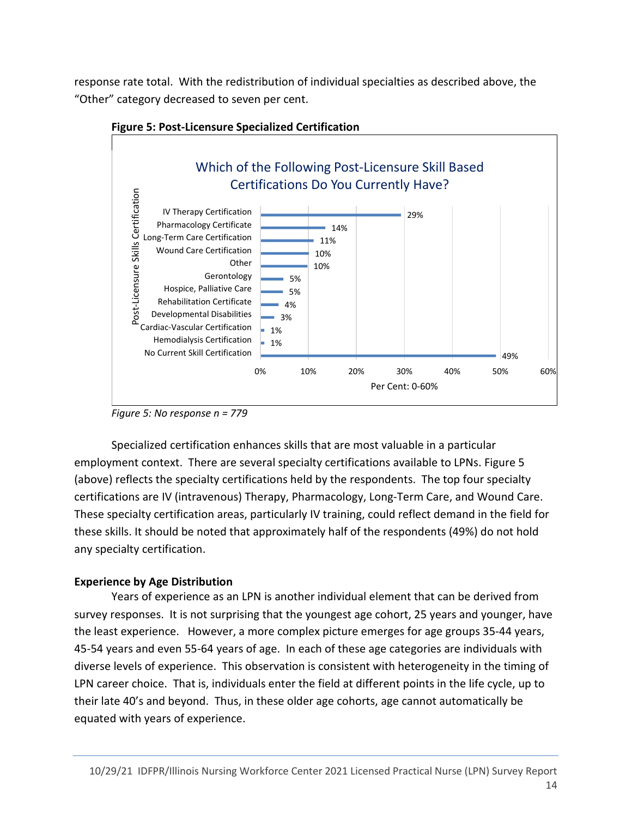response rate total. With the redistribution of individual specialties as described above, the "Other" category decreased to seven per cent.



Figure 5: Post-Licensure Specialized Certification

Figure 5: No response n = 779

Specialized certification enhances skills that are most valuable in a particular employment context. There are several specialty certifications available to LPNs. Figure 5 (above) reflects the specialty certifications held by the respondents. The top four specialty certifications are IV (intravenous) Therapy, Pharmacology, Long-Term Care, and Wound Care. These specialty certification areas, particularly IV training, could reflect demand in the field for these skills. It should be noted that approximately half of the respondents (49%) do not hold any specialty certification.

#### Experience by Age Distribution

Years of experience as an LPN is another individual element that can be derived from survey responses. It is not surprising that the youngest age cohort, 25 years and younger, have the least experience. However, a more complex picture emerges for age groups 35-44 years, 45-54 years and even 55-64 years of age. In each of these age categories are individuals with diverse levels of experience. This observation is consistent with heterogeneity in the timing of LPN career choice. That is, individuals enter the field at different points in the life cycle, up to their late 40's and beyond. Thus, in these older age cohorts, age cannot automatically be equated with years of experience.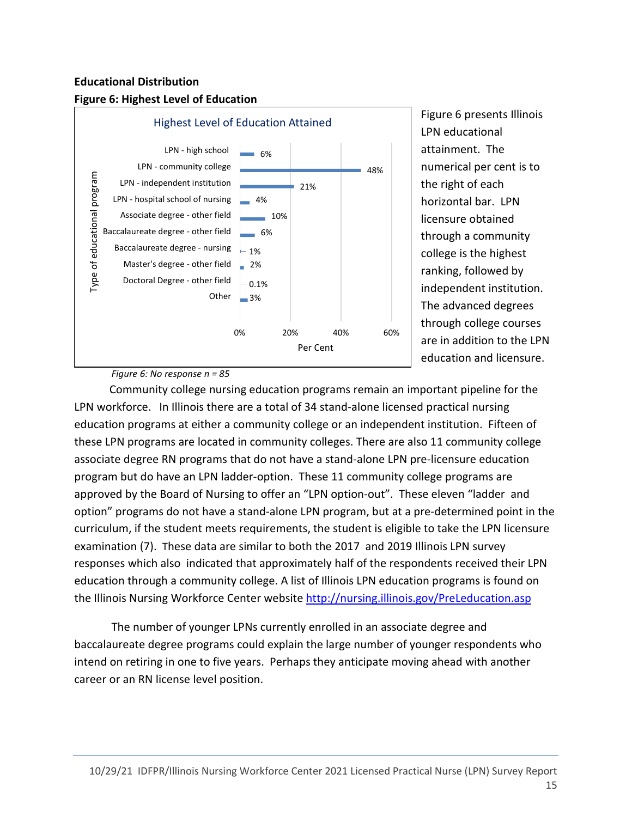#### Educational Distribution





Figure 6 presents Illinois LPN educational attainment. The numerical per cent is to the right of each horizontal bar. LPN licensure obtained through a community college is the highest ranking, followed by independent institution. The advanced degrees through college courses are in addition to the LPN education and licensure.

Figure 6: No response n = 85

 Community college nursing education programs remain an important pipeline for the LPN workforce. In Illinois there are a total of 34 stand-alone licensed practical nursing education programs at either a community college or an independent institution. Fifteen of these LPN programs are located in community colleges. There are also 11 community college associate degree RN programs that do not have a stand-alone LPN pre-licensure education program but do have an LPN ladder-option. These 11 community college programs are approved by the Board of Nursing to offer an "LPN option-out". These eleven "ladder and option" programs do not have a stand-alone LPN program, but at a pre-determined point in the curriculum, if the student meets requirements, the student is eligible to take the LPN licensure examination (7). These data are similar to both the 2017 and 2019 Illinois LPN survey responses which also indicated that approximately half of the respondents received their LPN education through a community college. A list of Illinois LPN education programs is found on the Illinois Nursing Workforce Center website http://nursing.illinois.gov/PreLeducation.asp

The number of younger LPNs currently enrolled in an associate degree and baccalaureate degree programs could explain the large number of younger respondents who intend on retiring in one to five years. Perhaps they anticipate moving ahead with another career or an RN license level position.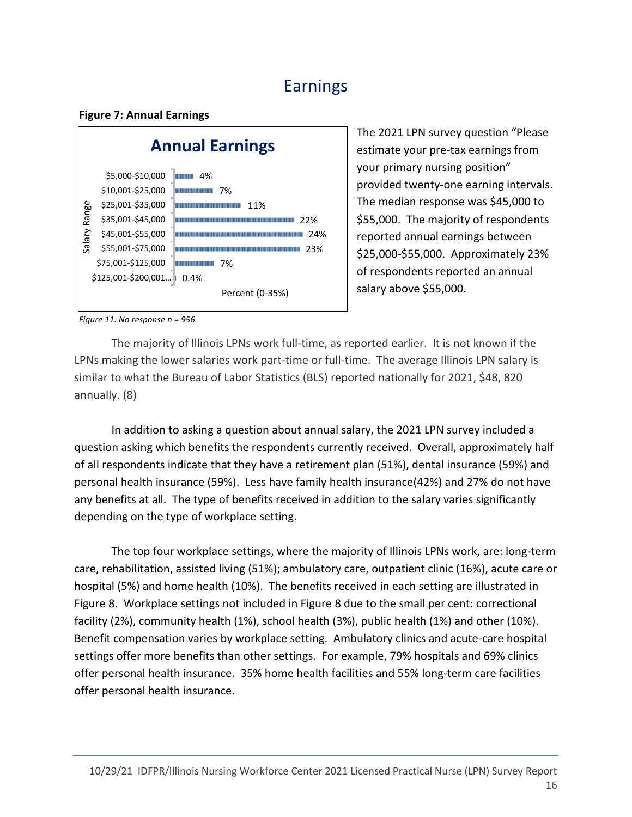# Earnings

#### Figure 7: Annual Earnings



The 2021 LPN survey question "Please estimate your pre-tax earnings from your primary nursing position" provided twenty-one earning intervals. The median response was \$45,000 to \$55,000. The majority of respondents reported annual earnings between \$25,000-\$55,000. Approximately 23% of respondents reported an annual salary above \$55,000.

Figure 11: No response n = 956

 The majority of Illinois LPNs work full-time, as reported earlier. It is not known if the LPNs making the lower salaries work part-time or full-time. The average Illinois LPN salary is similar to what the Bureau of Labor Statistics (BLS) reported nationally for 2021, \$48, 820 annually. (8)

In addition to asking a question about annual salary, the 2021 LPN survey included a question asking which benefits the respondents currently received. Overall, approximately half of all respondents indicate that they have a retirement plan (51%), dental insurance (59%) and personal health insurance (59%). Less have family health insurance(42%) and 27% do not have any benefits at all. The type of benefits received in addition to the salary varies significantly depending on the type of workplace setting.

The top four workplace settings, where the majority of Illinois LPNs work, are: long-term care, rehabilitation, assisted living (51%); ambulatory care, outpatient clinic (16%), acute care or hospital (5%) and home health (10%). The benefits received in each setting are illustrated in Figure 8. Workplace settings not included in Figure 8 due to the small per cent: correctional facility (2%), community health (1%), school health (3%), public health (1%) and other (10%). Benefit compensation varies by workplace setting. Ambulatory clinics and acute-care hospital settings offer more benefits than other settings. For example, 79% hospitals and 69% clinics offer personal health insurance. 35% home health facilities and 55% long-term care facilities offer personal health insurance.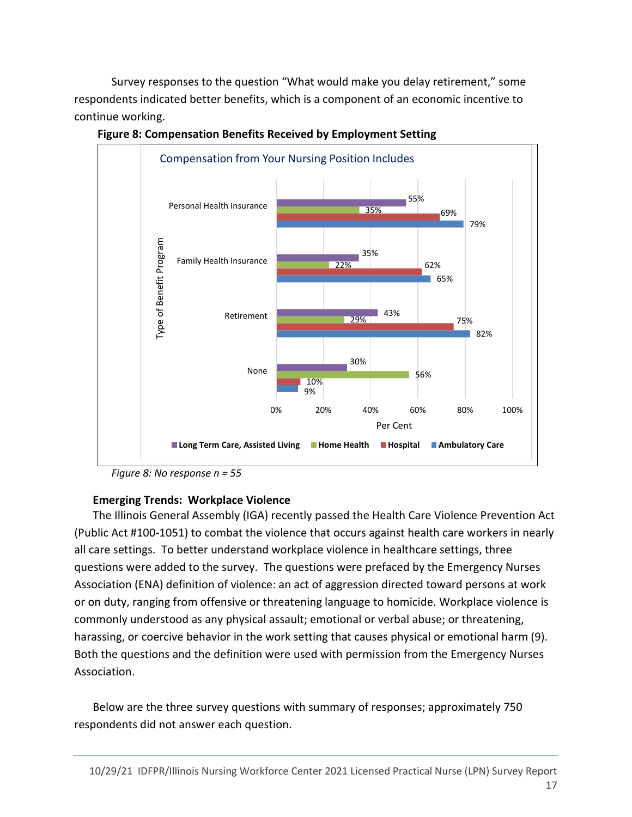Survey responses to the question "What would make you delay retirement," some respondents indicated better benefits, which is a component of an economic incentive to continue working.



Figure 8: Compensation Benefits Received by Employment Setting

#### Emerging Trends: Workplace Violence

The Illinois General Assembly (IGA) recently passed the Health Care Violence Prevention Act (Public Act #100-1051) to combat the violence that occurs against health care workers in nearly all care settings. To better understand workplace violence in healthcare settings, three questions were added to the survey. The questions were prefaced by the Emergency Nurses Association (ENA) definition of violence: an act of aggression directed toward persons at work or on duty, ranging from offensive or threatening language to homicide. Workplace violence is commonly understood as any physical assault; emotional or verbal abuse; or threatening, harassing, or coercive behavior in the work setting that causes physical or emotional harm (9). Both the questions and the definition were used with permission from the Emergency Nurses Association.

Below are the three survey questions with summary of responses; approximately 750 respondents did not answer each question.

Figure 8: No response n = 55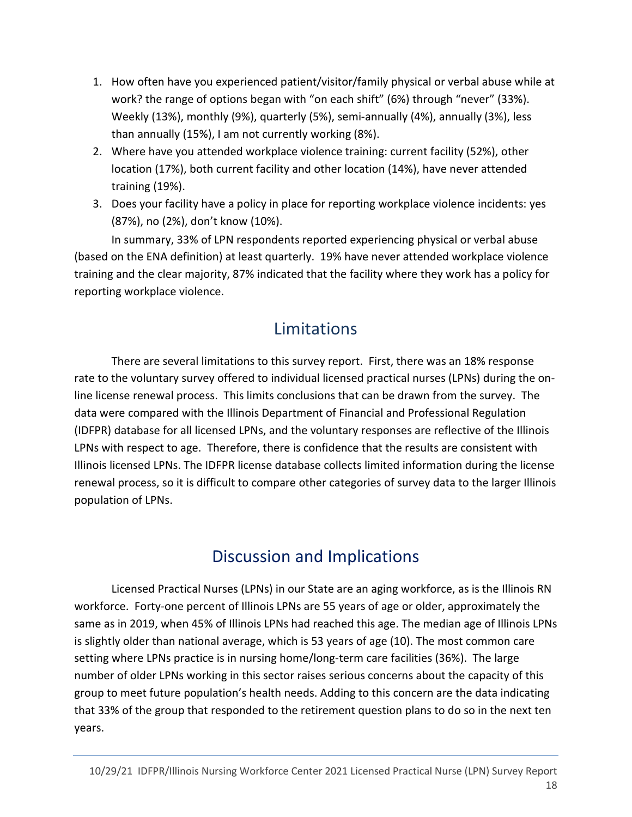- 1. How often have you experienced patient/visitor/family physical or verbal abuse while at work? the range of options began with "on each shift" (6%) through "never" (33%). Weekly (13%), monthly (9%), quarterly (5%), semi-annually (4%), annually (3%), less than annually (15%), I am not currently working (8%).
- 2. Where have you attended workplace violence training: current facility (52%), other location (17%), both current facility and other location (14%), have never attended training (19%).
- 3. Does your facility have a policy in place for reporting workplace violence incidents: yes (87%), no (2%), don't know (10%).

In summary, 33% of LPN respondents reported experiencing physical or verbal abuse (based on the ENA definition) at least quarterly. 19% have never attended workplace violence training and the clear majority, 87% indicated that the facility where they work has a policy for reporting workplace violence.

# Limitations

There are several limitations to this survey report. First, there was an 18% response rate to the voluntary survey offered to individual licensed practical nurses (LPNs) during the online license renewal process. This limits conclusions that can be drawn from the survey. The data were compared with the Illinois Department of Financial and Professional Regulation (IDFPR) database for all licensed LPNs, and the voluntary responses are reflective of the Illinois LPNs with respect to age. Therefore, there is confidence that the results are consistent with Illinois licensed LPNs. The IDFPR license database collects limited information during the license renewal process, so it is difficult to compare other categories of survey data to the larger Illinois population of LPNs.

# Discussion and Implications

Licensed Practical Nurses (LPNs) in our State are an aging workforce, as is the Illinois RN workforce. Forty-one percent of Illinois LPNs are 55 years of age or older, approximately the same as in 2019, when 45% of Illinois LPNs had reached this age. The median age of Illinois LPNs is slightly older than national average, which is 53 years of age (10). The most common care setting where LPNs practice is in nursing home/long-term care facilities (36%). The large number of older LPNs working in this sector raises serious concerns about the capacity of this group to meet future population's health needs. Adding to this concern are the data indicating that 33% of the group that responded to the retirement question plans to do so in the next ten years.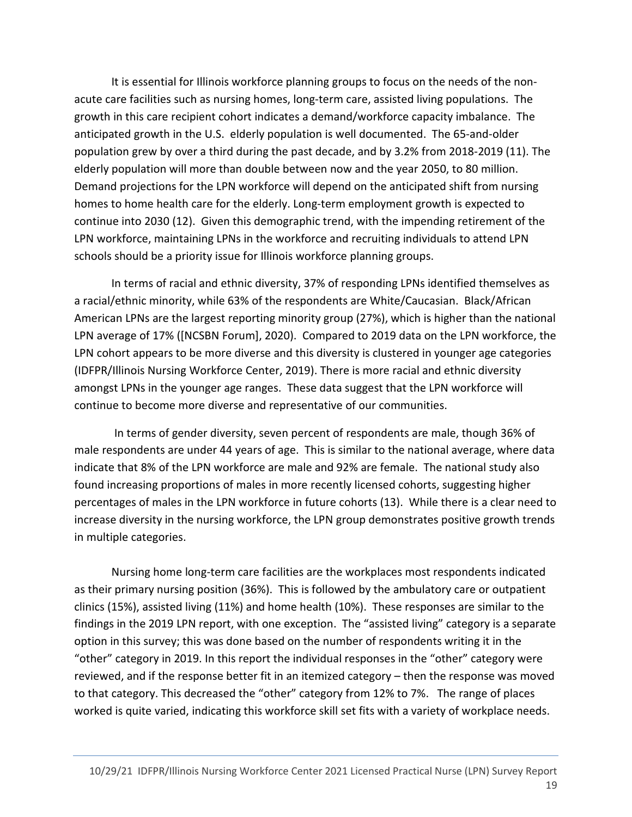It is essential for Illinois workforce planning groups to focus on the needs of the nonacute care facilities such as nursing homes, long-term care, assisted living populations. The growth in this care recipient cohort indicates a demand/workforce capacity imbalance. The anticipated growth in the U.S. elderly population is well documented. The 65-and-older population grew by over a third during the past decade, and by 3.2% from 2018-2019 (11). The elderly population will more than double between now and the year 2050, to 80 million. Demand projections for the LPN workforce will depend on the anticipated shift from nursing homes to home health care for the elderly. Long-term employment growth is expected to continue into 2030 (12). Given this demographic trend, with the impending retirement of the LPN workforce, maintaining LPNs in the workforce and recruiting individuals to attend LPN schools should be a priority issue for Illinois workforce planning groups.

In terms of racial and ethnic diversity, 37% of responding LPNs identified themselves as a racial/ethnic minority, while 63% of the respondents are White/Caucasian. Black/African American LPNs are the largest reporting minority group (27%), which is higher than the national LPN average of 17% ([NCSBN Forum], 2020). Compared to 2019 data on the LPN workforce, the LPN cohort appears to be more diverse and this diversity is clustered in younger age categories (IDFPR/Illinois Nursing Workforce Center, 2019). There is more racial and ethnic diversity amongst LPNs in the younger age ranges. These data suggest that the LPN workforce will continue to become more diverse and representative of our communities.

 In terms of gender diversity, seven percent of respondents are male, though 36% of male respondents are under 44 years of age. This is similar to the national average, where data indicate that 8% of the LPN workforce are male and 92% are female. The national study also found increasing proportions of males in more recently licensed cohorts, suggesting higher percentages of males in the LPN workforce in future cohorts (13). While there is a clear need to increase diversity in the nursing workforce, the LPN group demonstrates positive growth trends in multiple categories.

 Nursing home long-term care facilities are the workplaces most respondents indicated as their primary nursing position (36%). This is followed by the ambulatory care or outpatient clinics (15%), assisted living (11%) and home health (10%). These responses are similar to the findings in the 2019 LPN report, with one exception. The "assisted living" category is a separate option in this survey; this was done based on the number of respondents writing it in the "other" category in 2019. In this report the individual responses in the "other" category were reviewed, and if the response better fit in an itemized category – then the response was moved to that category. This decreased the "other" category from 12% to 7%. The range of places worked is quite varied, indicating this workforce skill set fits with a variety of workplace needs.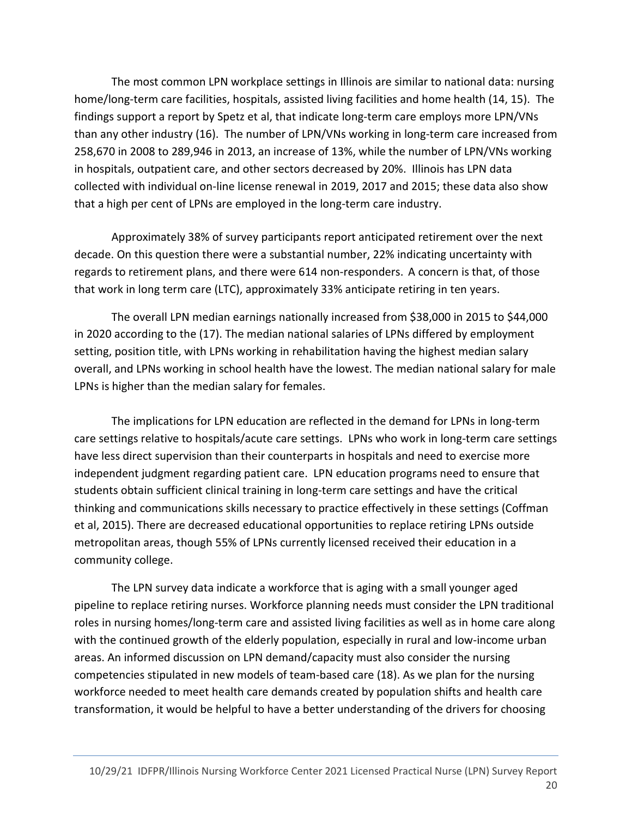The most common LPN workplace settings in Illinois are similar to national data: nursing home/long-term care facilities, hospitals, assisted living facilities and home health (14, 15). The findings support a report by Spetz et al, that indicate long-term care employs more LPN/VNs than any other industry (16). The number of LPN/VNs working in long-term care increased from 258,670 in 2008 to 289,946 in 2013, an increase of 13%, while the number of LPN/VNs working in hospitals, outpatient care, and other sectors decreased by 20%. Illinois has LPN data collected with individual on-line license renewal in 2019, 2017 and 2015; these data also show that a high per cent of LPNs are employed in the long-term care industry.

Approximately 38% of survey participants report anticipated retirement over the next decade. On this question there were a substantial number, 22% indicating uncertainty with regards to retirement plans, and there were 614 non-responders. A concern is that, of those that work in long term care (LTC), approximately 33% anticipate retiring in ten years.

The overall LPN median earnings nationally increased from \$38,000 in 2015 to \$44,000 in 2020 according to the (17). The median national salaries of LPNs differed by employment setting, position title, with LPNs working in rehabilitation having the highest median salary overall, and LPNs working in school health have the lowest. The median national salary for male LPNs is higher than the median salary for females.

The implications for LPN education are reflected in the demand for LPNs in long-term care settings relative to hospitals/acute care settings. LPNs who work in long-term care settings have less direct supervision than their counterparts in hospitals and need to exercise more independent judgment regarding patient care. LPN education programs need to ensure that students obtain sufficient clinical training in long-term care settings and have the critical thinking and communications skills necessary to practice effectively in these settings (Coffman et al, 2015). There are decreased educational opportunities to replace retiring LPNs outside metropolitan areas, though 55% of LPNs currently licensed received their education in a community college.

The LPN survey data indicate a workforce that is aging with a small younger aged pipeline to replace retiring nurses. Workforce planning needs must consider the LPN traditional roles in nursing homes/long-term care and assisted living facilities as well as in home care along with the continued growth of the elderly population, especially in rural and low-income urban areas. An informed discussion on LPN demand/capacity must also consider the nursing competencies stipulated in new models of team-based care (18). As we plan for the nursing workforce needed to meet health care demands created by population shifts and health care transformation, it would be helpful to have a better understanding of the drivers for choosing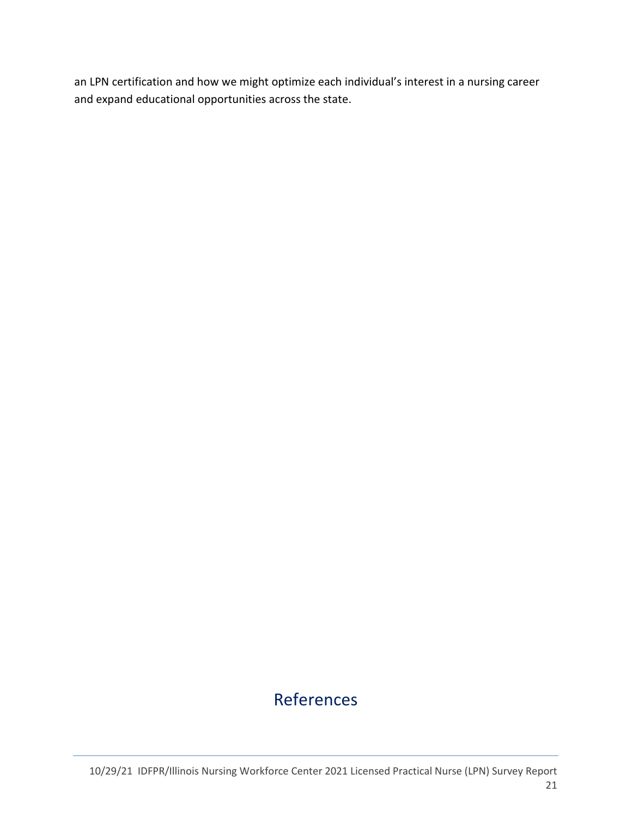an LPN certification and how we might optimize each individual's interest in a nursing career and expand educational opportunities across the state.

# References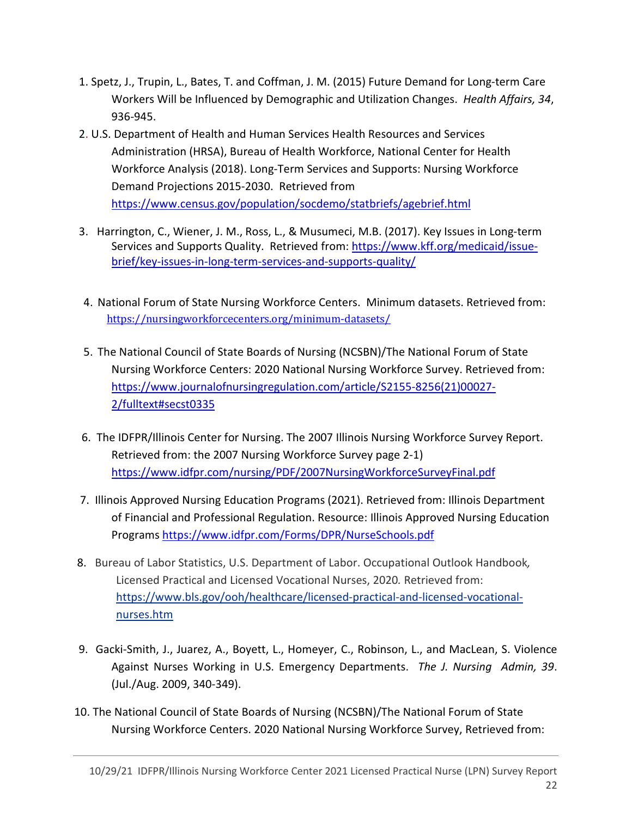- 1. Spetz, J., Trupin, L., Bates, T. and Coffman, J. M. (2015) Future Demand for Long-term Care Workers Will be Influenced by Demographic and Utilization Changes. Health Affairs, 34, 936-945.
- 2. U.S. Department of Health and Human Services Health Resources and Services Administration (HRSA), Bureau of Health Workforce, National Center for Health Workforce Analysis (2018). Long-Term Services and Supports: Nursing Workforce Demand Projections 2015-2030. Retrieved from https://www.census.gov/population/socdemo/statbriefs/agebrief.html
- 3. Harrington, C., Wiener, J. M., Ross, L., & Musumeci, M.B. (2017). Key Issues in Long-term Services and Supports Quality. Retrieved from: https://www.kff.org/medicaid/issuebrief/key-issues-in-long-term-services-and-supports-quality/
- 4. National Forum of State Nursing Workforce Centers. Minimum datasets. Retrieved from: https://nursingworkforcecenters.org/minimum-datasets/
- 5. The National Council of State Boards of Nursing (NCSBN)/The National Forum of State Nursing Workforce Centers: 2020 National Nursing Workforce Survey. Retrieved from: https://www.journalofnursingregulation.com/article/S2155-8256(21)00027- 2/fulltext#secst0335
- 6. The IDFPR/Illinois Center for Nursing. The 2007 Illinois Nursing Workforce Survey Report. Retrieved from: the 2007 Nursing Workforce Survey page 2-1) https://www.idfpr.com/nursing/PDF/2007NursingWorkforceSurveyFinal.pdf
- 7. Illinois Approved Nursing Education Programs (2021). Retrieved from: Illinois Department of Financial and Professional Regulation. Resource: Illinois Approved Nursing Education Programs https://www.idfpr.com/Forms/DPR/NurseSchools.pdf
- 8. Bureau of Labor Statistics, U.S. Department of Labor. Occupational Outlook Handbook, Licensed Practical and Licensed Vocational Nurses, 2020. Retrieved from: https://www.bls.gov/ooh/healthcare/licensed-practical-and-licensed-vocationalnurses.htm
- 9. Gacki-Smith, J., Juarez, A., Boyett, L., Homeyer, C., Robinson, L., and MacLean, S. Violence Against Nurses Working in U.S. Emergency Departments. The J. Nursing Admin, 39. (Jul./Aug. 2009, 340-349).
- 10. The National Council of State Boards of Nursing (NCSBN)/The National Forum of State Nursing Workforce Centers. 2020 National Nursing Workforce Survey, Retrieved from: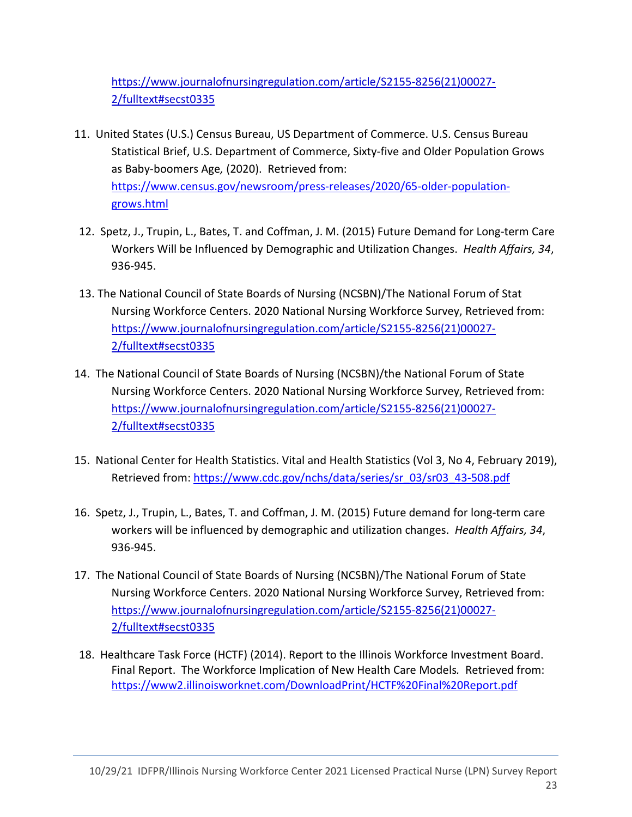https://www.journalofnursingregulation.com/article/S2155-8256(21)00027- 2/fulltext#secst0335

- 11. United States (U.S.) Census Bureau, US Department of Commerce. U.S. Census Bureau Statistical Brief, U.S. Department of Commerce, Sixty-five and Older Population Grows as Baby-boomers Age, (2020). Retrieved from: https://www.census.gov/newsroom/press-releases/2020/65-older-populationgrows.html
- 12. Spetz, J., Trupin, L., Bates, T. and Coffman, J. M. (2015) Future Demand for Long-term Care Workers Will be Influenced by Demographic and Utilization Changes. Health Affairs, 34, 936-945.
- 13. The National Council of State Boards of Nursing (NCSBN)/The National Forum of Stat Nursing Workforce Centers. 2020 National Nursing Workforce Survey, Retrieved from: https://www.journalofnursingregulation.com/article/S2155-8256(21)00027- 2/fulltext#secst0335
- 14. The National Council of State Boards of Nursing (NCSBN)/the National Forum of State Nursing Workforce Centers. 2020 National Nursing Workforce Survey, Retrieved from: https://www.journalofnursingregulation.com/article/S2155-8256(21)00027- 2/fulltext#secst0335
- 15. National Center for Health Statistics. Vital and Health Statistics (Vol 3, No 4, February 2019), Retrieved from: https://www.cdc.gov/nchs/data/series/sr\_03/sr03\_43-508.pdf
- 16. Spetz, J., Trupin, L., Bates, T. and Coffman, J. M. (2015) Future demand for long-term care workers will be influenced by demographic and utilization changes. Health Affairs, 34, 936-945.
- 17. The National Council of State Boards of Nursing (NCSBN)/The National Forum of State Nursing Workforce Centers. 2020 National Nursing Workforce Survey, Retrieved from: https://www.journalofnursingregulation.com/article/S2155-8256(21)00027- 2/fulltext#secst0335
- 18. Healthcare Task Force (HCTF) (2014). Report to the Illinois Workforce Investment Board. Final Report. The Workforce Implication of New Health Care Models. Retrieved from: https://www2.illinoisworknet.com/DownloadPrint/HCTF%20Final%20Report.pdf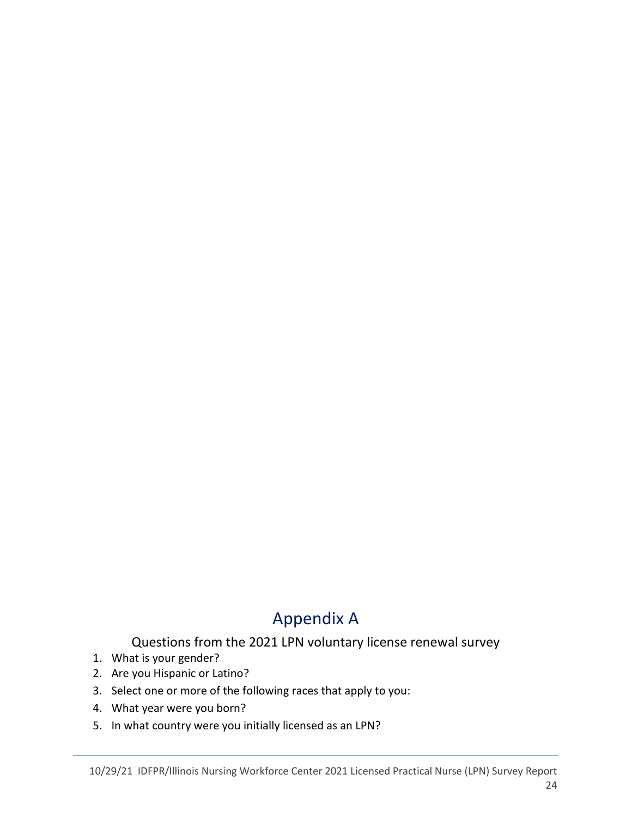# Appendix A

#### Questions from the 2021 LPN voluntary license renewal survey

- 1. What is your gender?
- 2. Are you Hispanic or Latino?
- 3. Select one or more of the following races that apply to you:
- 4. What year were you born?
- 5. In what country were you initially licensed as an LPN?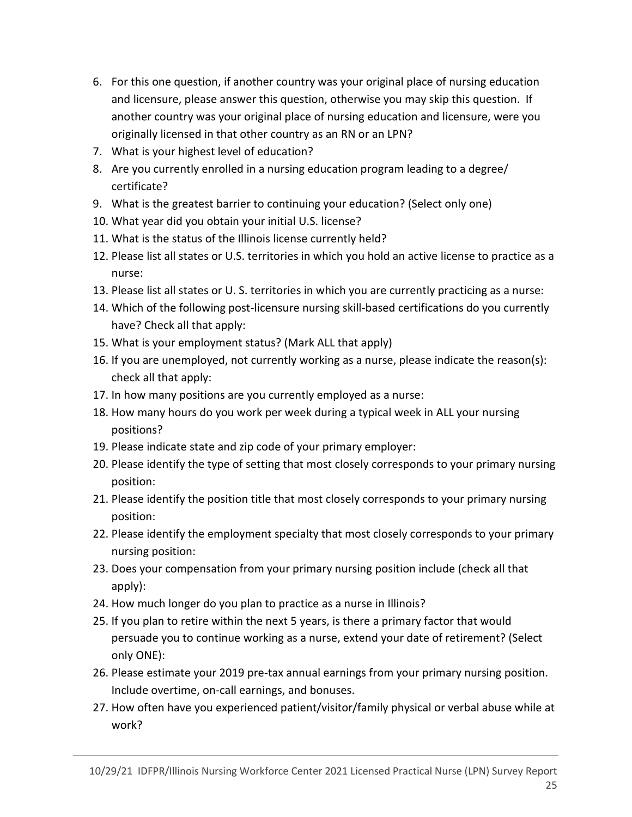- 6. For this one question, if another country was your original place of nursing education and licensure, please answer this question, otherwise you may skip this question. If another country was your original place of nursing education and licensure, were you originally licensed in that other country as an RN or an LPN?
- 7. What is your highest level of education?
- 8. Are you currently enrolled in a nursing education program leading to a degree/ certificate?
- 9. What is the greatest barrier to continuing your education? (Select only one)
- 10. What year did you obtain your initial U.S. license?
- 11. What is the status of the Illinois license currently held?
- 12. Please list all states or U.S. territories in which you hold an active license to practice as a nurse:
- 13. Please list all states or U. S. territories in which you are currently practicing as a nurse:
- 14. Which of the following post-licensure nursing skill-based certifications do you currently have? Check all that apply:
- 15. What is your employment status? (Mark ALL that apply)
- 16. If you are unemployed, not currently working as a nurse, please indicate the reason(s): check all that apply:
- 17. In how many positions are you currently employed as a nurse:
- 18. How many hours do you work per week during a typical week in ALL your nursing positions?
- 19. Please indicate state and zip code of your primary employer:
- 20. Please identify the type of setting that most closely corresponds to your primary nursing position:
- 21. Please identify the position title that most closely corresponds to your primary nursing position:
- 22. Please identify the employment specialty that most closely corresponds to your primary nursing position:
- 23. Does your compensation from your primary nursing position include (check all that apply):
- 24. How much longer do you plan to practice as a nurse in Illinois?
- 25. If you plan to retire within the next 5 years, is there a primary factor that would persuade you to continue working as a nurse, extend your date of retirement? (Select only ONE):
- 26. Please estimate your 2019 pre-tax annual earnings from your primary nursing position. Include overtime, on-call earnings, and bonuses.
- 27. How often have you experienced patient/visitor/family physical or verbal abuse while at work?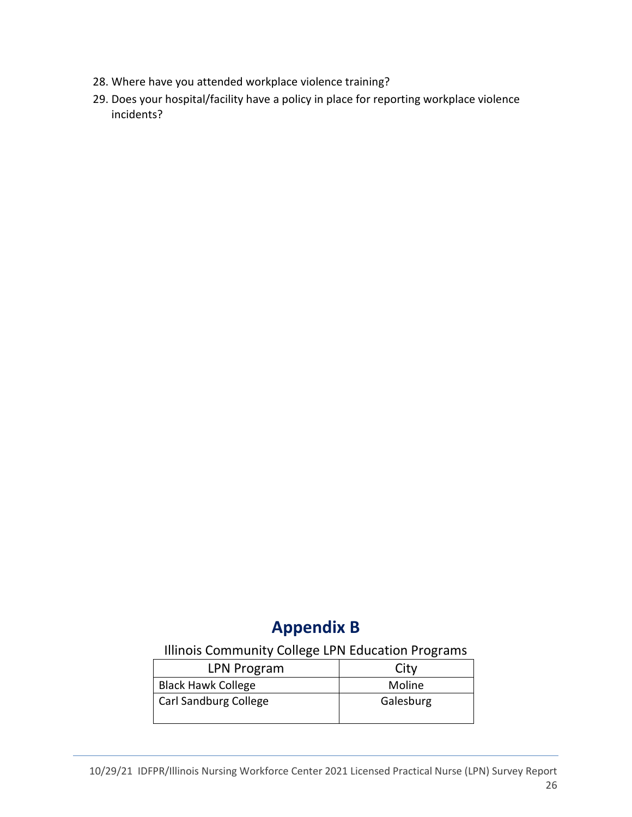- 28. Where have you attended workplace violence training?
- 29. Does your hospital/facility have a policy in place for reporting workplace violence incidents?

### Appendix B

#### Illinois Community College LPN Education Programs

| LPN Program               | City      |
|---------------------------|-----------|
| <b>Black Hawk College</b> | Moline    |
| Carl Sandburg College     | Galesburg |